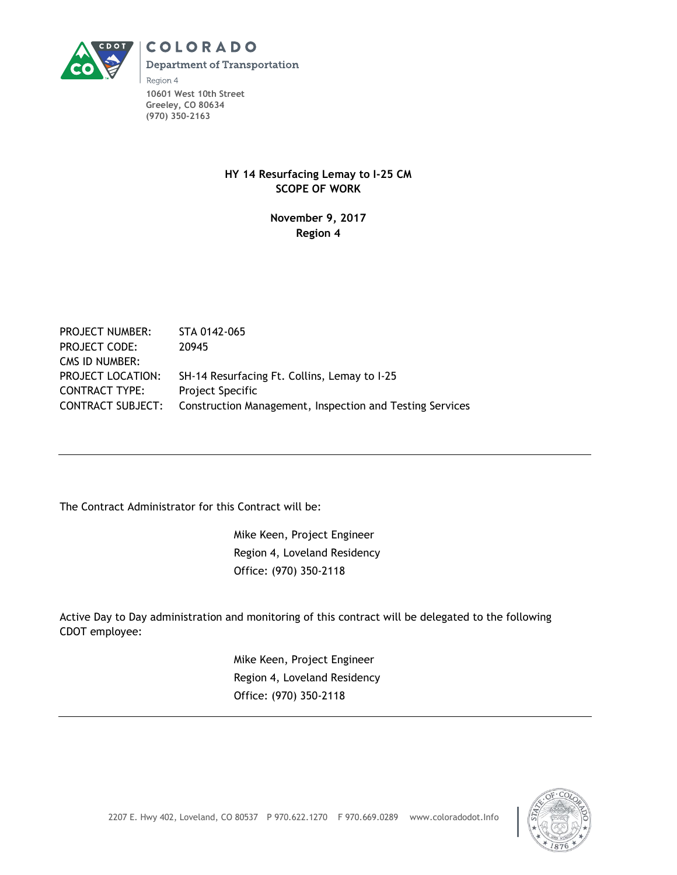

**COLORADO Department of Transportation** 

Region 4 **10601 West 10th Street Greeley, CO 80634 (970) 350-2163**

### **HY 14 Resurfacing Lemay to I-25 CM SCOPE OF WORK**

### **November 9, 2017 Region 4**

PROJECT NUMBER: STA 0142-065 PROJECT CODE: 20945 CMS ID NUMBER: PROJECT LOCATION: SH-14 Resurfacing Ft. Collins, Lemay to I-25 CONTRACT TYPE: Project Specific CONTRACT SUBJECT: Construction Management, Inspection and Testing Services

The Contract Administrator for this Contract will be:

Mike Keen, Project Engineer Region 4, Loveland Residency Office: (970) 350-2118

Active Day to Day administration and monitoring of this contract will be delegated to the following CDOT employee:

> Mike Keen, Project Engineer Region 4, Loveland Residency Office: (970) 350-2118

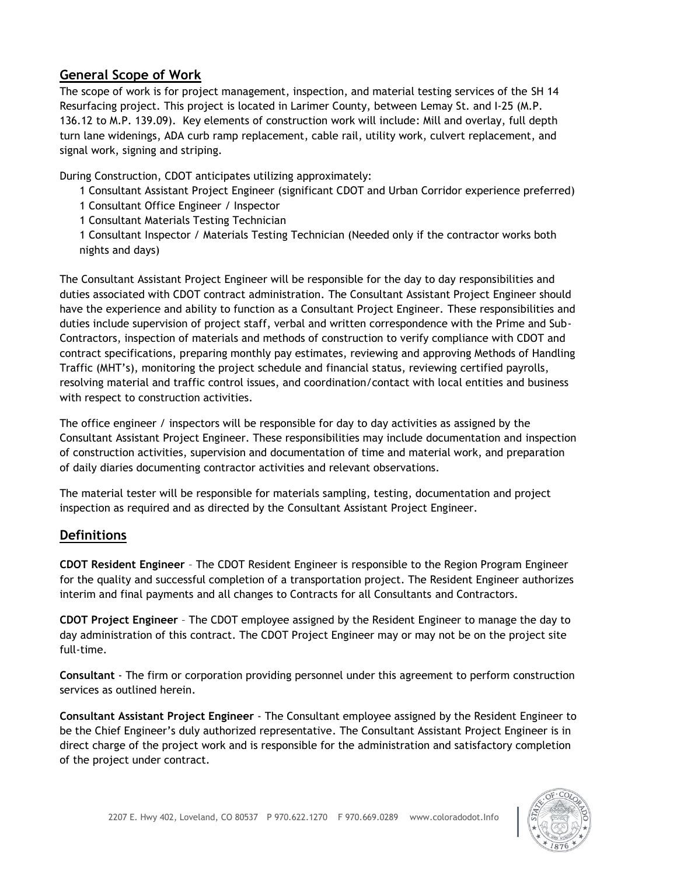# **General Scope of Work**

The scope of work is for project management, inspection, and material testing services of the SH 14 Resurfacing project. This project is located in Larimer County, between Lemay St. and I-25 (M.P. 136.12 to M.P. 139.09). Key elements of construction work will include: Mill and overlay, full depth turn lane widenings, ADA curb ramp replacement, cable rail, utility work, culvert replacement, and signal work, signing and striping.

During Construction, CDOT anticipates utilizing approximately:

1 Consultant Assistant Project Engineer (significant CDOT and Urban Corridor experience preferred)

1 Consultant Office Engineer / Inspector

1 Consultant Materials Testing Technician

1 Consultant Inspector / Materials Testing Technician (Needed only if the contractor works both nights and days)

The Consultant Assistant Project Engineer will be responsible for the day to day responsibilities and duties associated with CDOT contract administration. The Consultant Assistant Project Engineer should have the experience and ability to function as a Consultant Project Engineer. These responsibilities and duties include supervision of project staff, verbal and written correspondence with the Prime and Sub-Contractors, inspection of materials and methods of construction to verify compliance with CDOT and contract specifications, preparing monthly pay estimates, reviewing and approving Methods of Handling Traffic (MHT's), monitoring the project schedule and financial status, reviewing certified payrolls, resolving material and traffic control issues, and coordination/contact with local entities and business with respect to construction activities.

The office engineer / inspectors will be responsible for day to day activities as assigned by the Consultant Assistant Project Engineer. These responsibilities may include documentation and inspection of construction activities, supervision and documentation of time and material work, and preparation of daily diaries documenting contractor activities and relevant observations.

The material tester will be responsible for materials sampling, testing, documentation and project inspection as required and as directed by the Consultant Assistant Project Engineer.

# **Definitions**

**CDOT Resident Engineer** – The CDOT Resident Engineer is responsible to the Region Program Engineer for the quality and successful completion of a transportation project. The Resident Engineer authorizes interim and final payments and all changes to Contracts for all Consultants and Contractors.

**CDOT Project Engineer** – The CDOT employee assigned by the Resident Engineer to manage the day to day administration of this contract. The CDOT Project Engineer may or may not be on the project site full-time.

**Consultant** - The firm or corporation providing personnel under this agreement to perform construction services as outlined herein.

**Consultant Assistant Project Engineer** - The Consultant employee assigned by the Resident Engineer to be the Chief Engineer's duly authorized representative. The Consultant Assistant Project Engineer is in direct charge of the project work and is responsible for the administration and satisfactory completion of the project under contract.

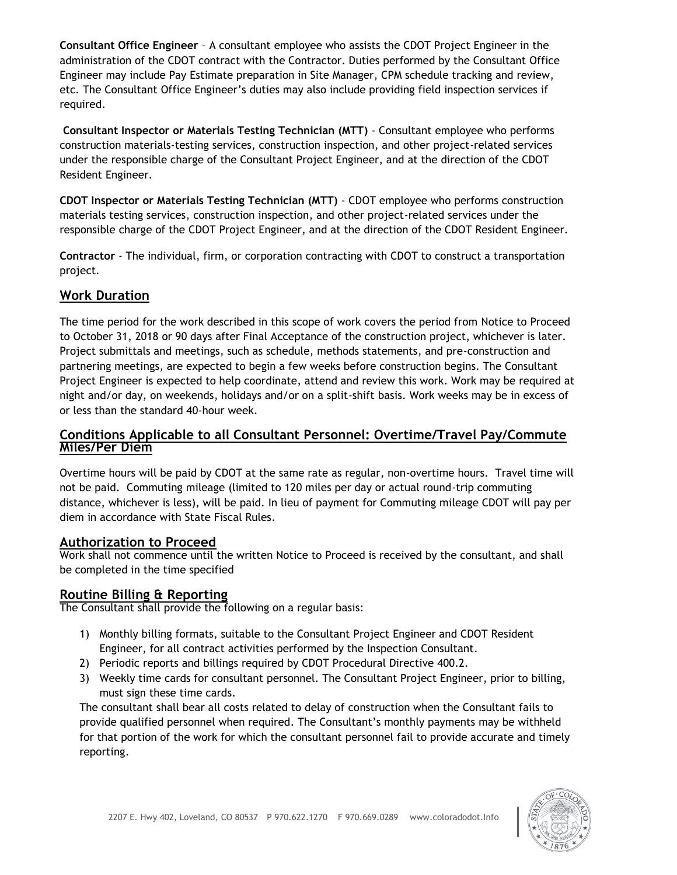**Consultant Office Engineer** – A consultant employee who assists the CDOT Project Engineer in the administration of the CDOT contract with the Contractor. Duties performed by the Consultant Office Engineer may include Pay Estimate preparation in Site Manager, CPM schedule tracking and review, etc. The Consultant Office Engineer's duties may also include providing field inspection services if required.

**Consultant Inspector or Materials Testing Technician (MTT)** - Consultant employee who performs construction materials-testing services, construction inspection, and other project-related services under the responsible charge of the Consultant Project Engineer, and at the direction of the CDOT Resident Engineer.

**CDOT Inspector or Materials Testing Technician (MTT)** - CDOT employee who performs construction materials testing services, construction inspection, and other project-related services under the responsible charge of the CDOT Project Engineer, and at the direction of the CDOT Resident Engineer.

**Contractor** - The individual, firm, or corporation contracting with CDOT to construct a transportation project.

# **Work Duration**

The time period for the work described in this scope of work covers the period from Notice to Proceed to October 31, 2018 or 90 days after Final Acceptance of the construction project, whichever is later. Project submittals and meetings, such as schedule, methods statements, and pre-construction and partnering meetings, are expected to begin a few weeks before construction begins. The Consultant Project Engineer is expected to help coordinate, attend and review this work. Work may be required at night and/or day, on weekends, holidays and/or on a split-shift basis. Work weeks may be in excess of or less than the standard 40-hour week.

### **Conditions Applicable to all Consultant Personnel: Overtime/Travel Pay/Commute Miles/Per Diem**

Overtime hours will be paid by CDOT at the same rate as regular, non-overtime hours. Travel time will not be paid. Commuting mileage (limited to 120 miles per day or actual round-trip commuting distance, whichever is less), will be paid. In lieu of payment for Commuting mileage CDOT will pay per diem in accordance with State Fiscal Rules.

## **Authorization to Proceed**

Work shall not commence until the written Notice to Proceed is received by the consultant, and shall be completed in the time specified

## **Routine Billing & Reporting**

The Consultant shall provide the following on a regular basis:

- 1) Monthly billing formats, suitable to the Consultant Project Engineer and CDOT Resident Engineer, for all contract activities performed by the Inspection Consultant.
- 2) Periodic reports and billings required by CDOT Procedural Directive 400.2.
- 3) Weekly time cards for consultant personnel. The Consultant Project Engineer, prior to billing, must sign these time cards.

The consultant shall bear all costs related to delay of construction when the Consultant fails to provide qualified personnel when required. The Consultant's monthly payments may be withheld for that portion of the work for which the consultant personnel fail to provide accurate and timely reporting.

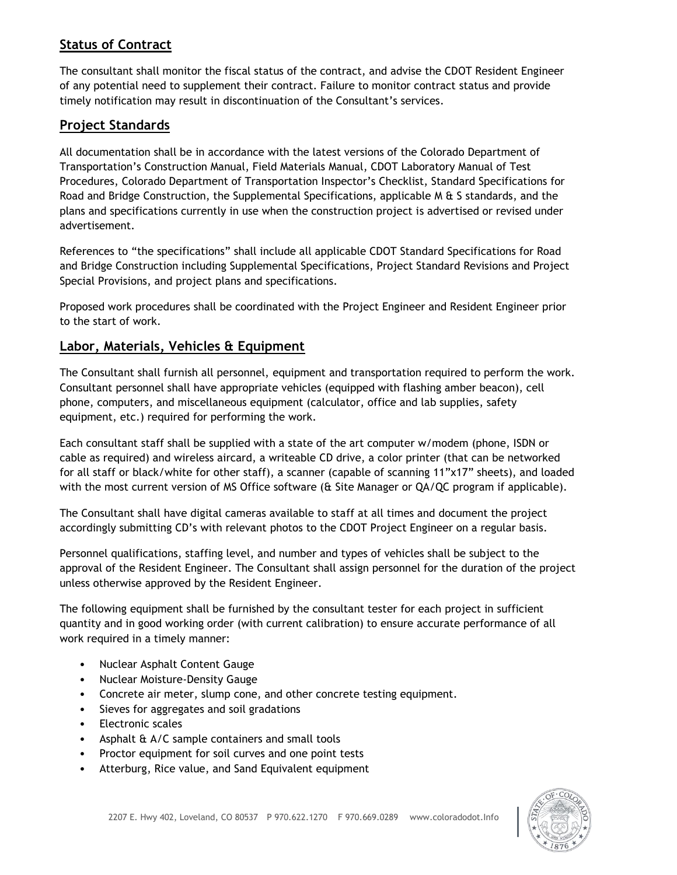# **Status of Contract**

The consultant shall monitor the fiscal status of the contract, and advise the CDOT Resident Engineer of any potential need to supplement their contract. Failure to monitor contract status and provide timely notification may result in discontinuation of the Consultant's services.

## **Project Standards**

All documentation shall be in accordance with the latest versions of the Colorado Department of Transportation's Construction Manual, Field Materials Manual, CDOT Laboratory Manual of Test Procedures, Colorado Department of Transportation Inspector's Checklist, Standard Specifications for Road and Bridge Construction, the Supplemental Specifications, applicable M & S standards, and the plans and specifications currently in use when the construction project is advertised or revised under advertisement.

References to "the specifications" shall include all applicable CDOT Standard Specifications for Road and Bridge Construction including Supplemental Specifications, Project Standard Revisions and Project Special Provisions, and project plans and specifications.

Proposed work procedures shall be coordinated with the Project Engineer and Resident Engineer prior to the start of work.

### **Labor, Materials, Vehicles & Equipment**

The Consultant shall furnish all personnel, equipment and transportation required to perform the work. Consultant personnel shall have appropriate vehicles (equipped with flashing amber beacon), cell phone, computers, and miscellaneous equipment (calculator, office and lab supplies, safety equipment, etc.) required for performing the work.

Each consultant staff shall be supplied with a state of the art computer w/modem (phone, ISDN or cable as required) and wireless aircard, a writeable CD drive, a color printer (that can be networked for all staff or black/white for other staff), a scanner (capable of scanning 11"x17" sheets), and loaded with the most current version of MS Office software (& Site Manager or QA/QC program if applicable).

The Consultant shall have digital cameras available to staff at all times and document the project accordingly submitting CD's with relevant photos to the CDOT Project Engineer on a regular basis.

Personnel qualifications, staffing level, and number and types of vehicles shall be subject to the approval of the Resident Engineer. The Consultant shall assign personnel for the duration of the project unless otherwise approved by the Resident Engineer.

The following equipment shall be furnished by the consultant tester for each project in sufficient quantity and in good working order (with current calibration) to ensure accurate performance of all work required in a timely manner:

- Nuclear Asphalt Content Gauge
- Nuclear Moisture-Density Gauge
- Concrete air meter, slump cone, and other concrete testing equipment.
- Sieves for aggregates and soil gradations
- Electronic scales
- Asphalt & A/C sample containers and small tools
- Proctor equipment for soil curves and one point tests
- Atterburg, Rice value, and Sand Equivalent equipment

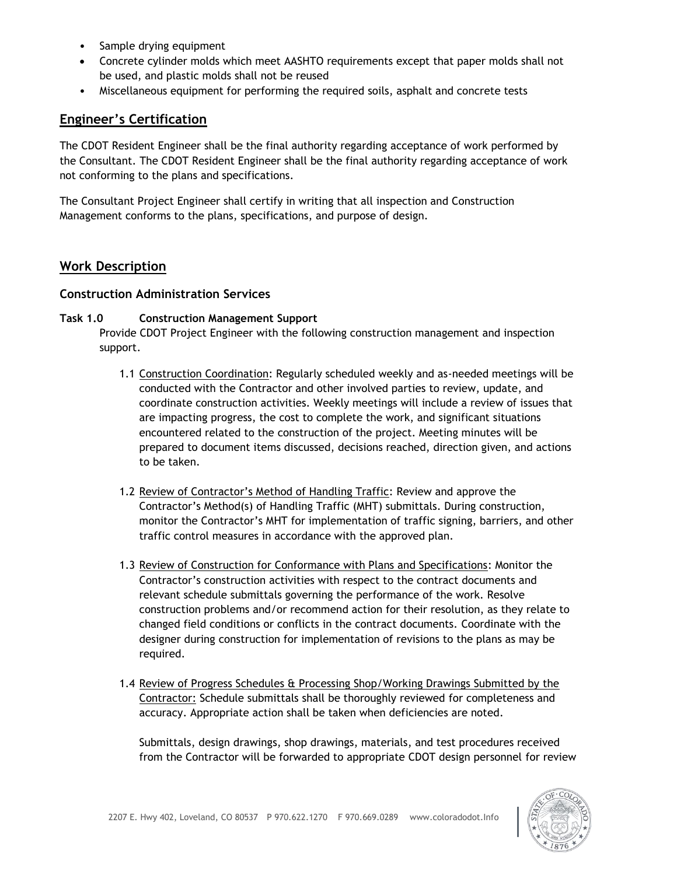- Sample drying equipment
- Concrete cylinder molds which meet AASHTO requirements except that paper molds shall not be used, and plastic molds shall not be reused
- Miscellaneous equipment for performing the required soils, asphalt and concrete tests

### **Engineer's Certification**

The CDOT Resident Engineer shall be the final authority regarding acceptance of work performed by the Consultant. The CDOT Resident Engineer shall be the final authority regarding acceptance of work not conforming to the plans and specifications.

The Consultant Project Engineer shall certify in writing that all inspection and Construction Management conforms to the plans, specifications, and purpose of design.

### **Work Description**

#### **Construction Administration Services**

#### **Task 1.0 Construction Management Support**

Provide CDOT Project Engineer with the following construction management and inspection support.

- 1.1 Construction Coordination: Regularly scheduled weekly and as-needed meetings will be conducted with the Contractor and other involved parties to review, update, and coordinate construction activities. Weekly meetings will include a review of issues that are impacting progress, the cost to complete the work, and significant situations encountered related to the construction of the project. Meeting minutes will be prepared to document items discussed, decisions reached, direction given, and actions to be taken.
- 1.2 Review of Contractor's Method of Handling Traffic: Review and approve the Contractor's Method(s) of Handling Traffic (MHT) submittals. During construction, monitor the Contractor's MHT for implementation of traffic signing, barriers, and other traffic control measures in accordance with the approved plan.
- 1.3 Review of Construction for Conformance with Plans and Specifications: Monitor the Contractor's construction activities with respect to the contract documents and relevant schedule submittals governing the performance of the work. Resolve construction problems and/or recommend action for their resolution, as they relate to changed field conditions or conflicts in the contract documents. Coordinate with the designer during construction for implementation of revisions to the plans as may be required.
- 1.4 Review of Progress Schedules & Processing Shop/Working Drawings Submitted by the Contractor: Schedule submittals shall be thoroughly reviewed for completeness and accuracy. Appropriate action shall be taken when deficiencies are noted.

Submittals, design drawings, shop drawings, materials, and test procedures received from the Contractor will be forwarded to appropriate CDOT design personnel for review

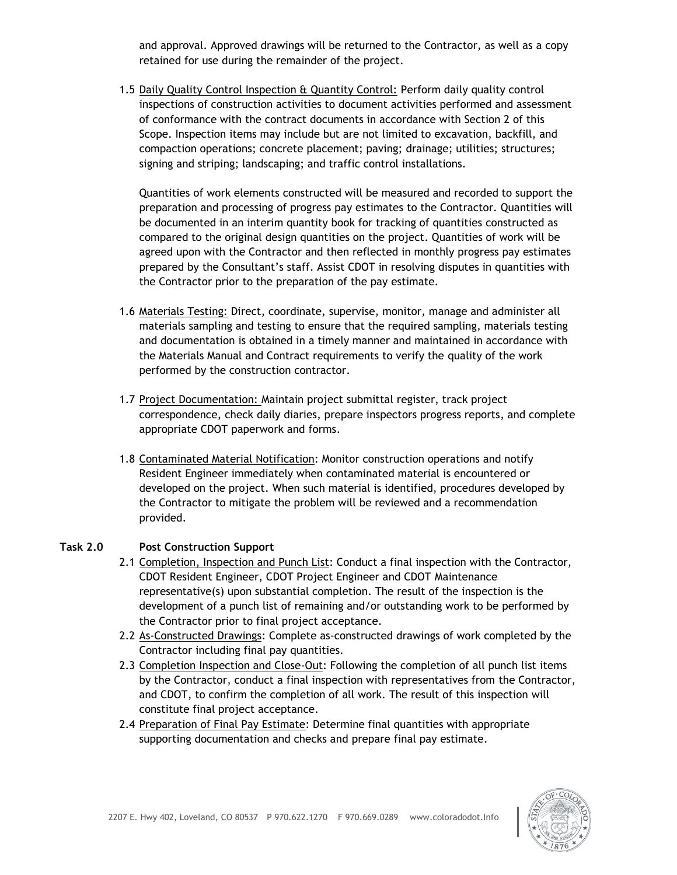and approval. Approved drawings will be returned to the Contractor, as well as a copy retained for use during the remainder of the project.

1.5 Daily Quality Control Inspection & Quantity Control: Perform daily quality control inspections of construction activities to document activities performed and assessment of conformance with the contract documents in accordance with Section 2 of this Scope. Inspection items may include but are not limited to excavation, backfill, and compaction operations; concrete placement; paving; drainage; utilities; structures; signing and striping; landscaping; and traffic control installations.

Quantities of work elements constructed will be measured and recorded to support the preparation and processing of progress pay estimates to the Contractor. Quantities will be documented in an interim quantity book for tracking of quantities constructed as compared to the original design quantities on the project. Quantities of work will be agreed upon with the Contractor and then reflected in monthly progress pay estimates prepared by the Consultant's staff. Assist CDOT in resolving disputes in quantities with the Contractor prior to the preparation of the pay estimate.

- 1.6 Materials Testing: Direct, coordinate, supervise, monitor, manage and administer all materials sampling and testing to ensure that the required sampling, materials testing and documentation is obtained in a timely manner and maintained in accordance with the Materials Manual and Contract requirements to verify the quality of the work performed by the construction contractor.
- 1.7 Project Documentation: Maintain project submittal register, track project correspondence, check daily diaries, prepare inspectors progress reports, and complete appropriate CDOT paperwork and forms.
- 1.8 Contaminated Material Notification: Monitor construction operations and notify Resident Engineer immediately when contaminated material is encountered or developed on the project. When such material is identified, procedures developed by the Contractor to mitigate the problem will be reviewed and a recommendation provided.

#### **Task 2.0 Post Construction Support**

- 2.1 Completion, Inspection and Punch List: Conduct a final inspection with the Contractor, CDOT Resident Engineer, CDOT Project Engineer and CDOT Maintenance representative(s) upon substantial completion. The result of the inspection is the development of a punch list of remaining and/or outstanding work to be performed by the Contractor prior to final project acceptance.
- 2.2 As-Constructed Drawings: Complete as-constructed drawings of work completed by the Contractor including final pay quantities.
- 2.3 Completion Inspection and Close-Out: Following the completion of all punch list items by the Contractor, conduct a final inspection with representatives from the Contractor, and CDOT, to confirm the completion of all work. The result of this inspection will constitute final project acceptance.
- 2.4 Preparation of Final Pay Estimate: Determine final quantities with appropriate supporting documentation and checks and prepare final pay estimate.

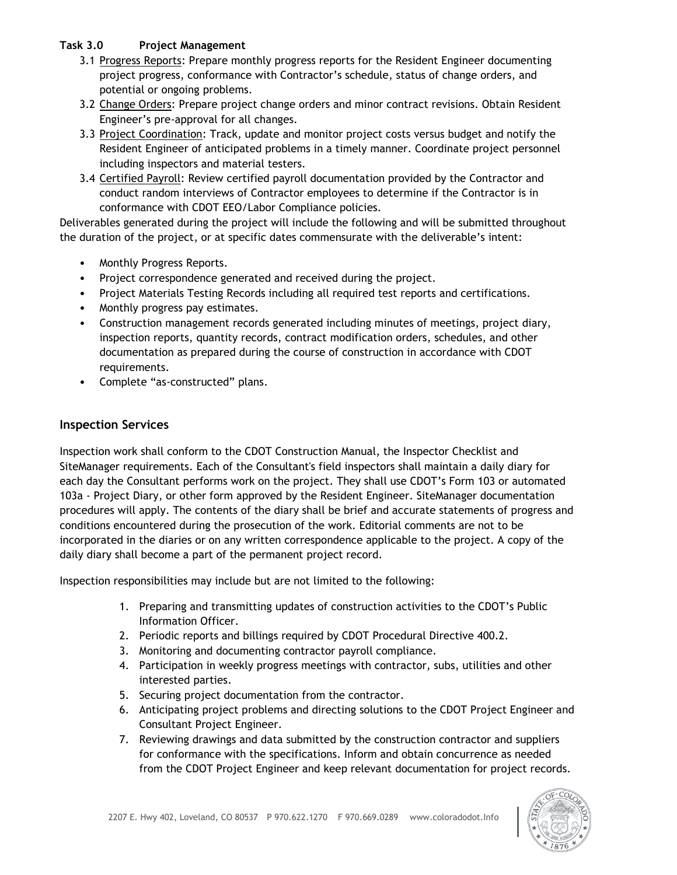### **Task 3.0 Project Management**

- 3.1 Progress Reports: Prepare monthly progress reports for the Resident Engineer documenting project progress, conformance with Contractor's schedule, status of change orders, and potential or ongoing problems.
- 3.2 Change Orders: Prepare project change orders and minor contract revisions. Obtain Resident Engineer's pre-approval for all changes.
- 3.3 Project Coordination: Track, update and monitor project costs versus budget and notify the Resident Engineer of anticipated problems in a timely manner. Coordinate project personnel including inspectors and material testers.
- 3.4 Certified Payroll: Review certified payroll documentation provided by the Contractor and conduct random interviews of Contractor employees to determine if the Contractor is in conformance with CDOT EEO/Labor Compliance policies.

Deliverables generated during the project will include the following and will be submitted throughout the duration of the project, or at specific dates commensurate with the deliverable's intent:

- Monthly Progress Reports.
- Project correspondence generated and received during the project.
- Project Materials Testing Records including all required test reports and certifications.
- Monthly progress pay estimates.
- Construction management records generated including minutes of meetings, project diary, inspection reports, quantity records, contract modification orders, schedules, and other documentation as prepared during the course of construction in accordance with CDOT requirements.
- Complete "as-constructed" plans.

#### **Inspection Services**

Inspection work shall conform to the CDOT Construction Manual, the Inspector Checklist and SiteManager requirements. Each of the Consultant's field inspectors shall maintain a daily diary for each day the Consultant performs work on the project. They shall use CDOT's Form 103 or automated 103a - Project Diary, or other form approved by the Resident Engineer. SiteManager documentation procedures will apply. The contents of the diary shall be brief and accurate statements of progress and conditions encountered during the prosecution of the work. Editorial comments are not to be incorporated in the diaries or on any written correspondence applicable to the project. A copy of the daily diary shall become a part of the permanent project record.

Inspection responsibilities may include but are not limited to the following:

- 1. Preparing and transmitting updates of construction activities to the CDOT's Public Information Officer.
- 2. Periodic reports and billings required by CDOT Procedural Directive 400.2.
- 3. Monitoring and documenting contractor payroll compliance.
- 4. Participation in weekly progress meetings with contractor, subs, utilities and other interested parties.
- 5. Securing project documentation from the contractor.
- 6. Anticipating project problems and directing solutions to the CDOT Project Engineer and Consultant Project Engineer.
- 7. Reviewing drawings and data submitted by the construction contractor and suppliers for conformance with the specifications. Inform and obtain concurrence as needed from the CDOT Project Engineer and keep relevant documentation for project records.

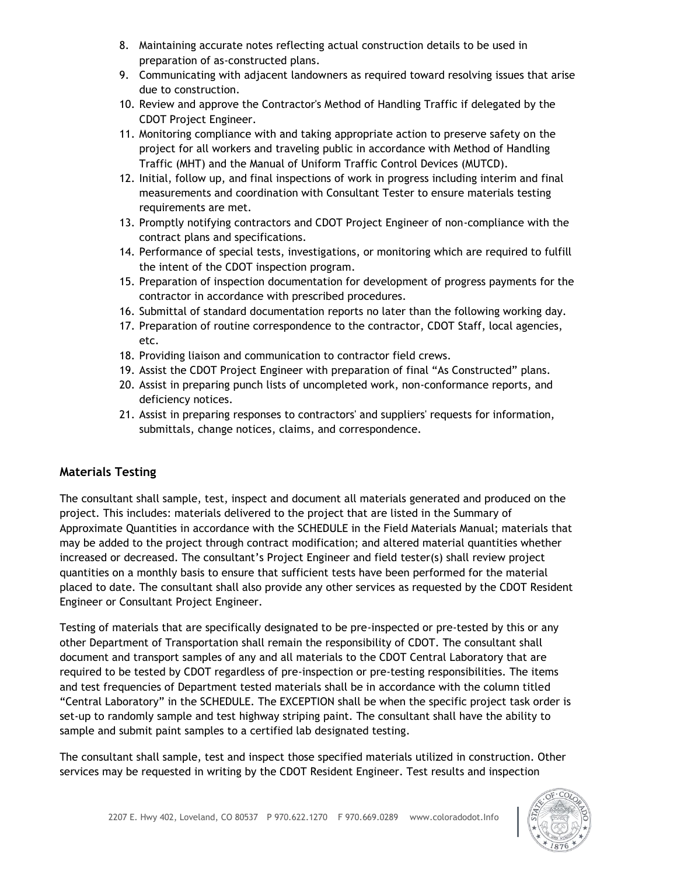- 8. Maintaining accurate notes reflecting actual construction details to be used in preparation of as-constructed plans.
- 9. Communicating with adjacent landowners as required toward resolving issues that arise due to construction.
- 10. Review and approve the Contractor's Method of Handling Traffic if delegated by the CDOT Project Engineer.
- 11. Monitoring compliance with and taking appropriate action to preserve safety on the project for all workers and traveling public in accordance with Method of Handling Traffic (MHT) and the Manual of Uniform Traffic Control Devices (MUTCD).
- 12. Initial, follow up, and final inspections of work in progress including interim and final measurements and coordination with Consultant Tester to ensure materials testing requirements are met.
- 13. Promptly notifying contractors and CDOT Project Engineer of non-compliance with the contract plans and specifications.
- 14. Performance of special tests, investigations, or monitoring which are required to fulfill the intent of the CDOT inspection program.
- 15. Preparation of inspection documentation for development of progress payments for the contractor in accordance with prescribed procedures.
- 16. Submittal of standard documentation reports no later than the following working day.
- 17. Preparation of routine correspondence to the contractor, CDOT Staff, local agencies, etc.
- 18. Providing liaison and communication to contractor field crews.
- 19. Assist the CDOT Project Engineer with preparation of final "As Constructed" plans.
- 20. Assist in preparing punch lists of uncompleted work, non-conformance reports, and deficiency notices.
- 21. Assist in preparing responses to contractors' and suppliers' requests for information, submittals, change notices, claims, and correspondence.

### **Materials Testing**

The consultant shall sample, test, inspect and document all materials generated and produced on the project. This includes: materials delivered to the project that are listed in the Summary of Approximate Quantities in accordance with the SCHEDULE in the Field Materials Manual; materials that may be added to the project through contract modification; and altered material quantities whether increased or decreased. The consultant's Project Engineer and field tester(s) shall review project quantities on a monthly basis to ensure that sufficient tests have been performed for the material placed to date. The consultant shall also provide any other services as requested by the CDOT Resident Engineer or Consultant Project Engineer.

Testing of materials that are specifically designated to be pre-inspected or pre-tested by this or any other Department of Transportation shall remain the responsibility of CDOT. The consultant shall document and transport samples of any and all materials to the CDOT Central Laboratory that are required to be tested by CDOT regardless of pre-inspection or pre-testing responsibilities. The items and test frequencies of Department tested materials shall be in accordance with the column titled "Central Laboratory" in the SCHEDULE. The EXCEPTION shall be when the specific project task order is set-up to randomly sample and test highway striping paint. The consultant shall have the ability to sample and submit paint samples to a certified lab designated testing.

The consultant shall sample, test and inspect those specified materials utilized in construction. Other services may be requested in writing by the CDOT Resident Engineer. Test results and inspection